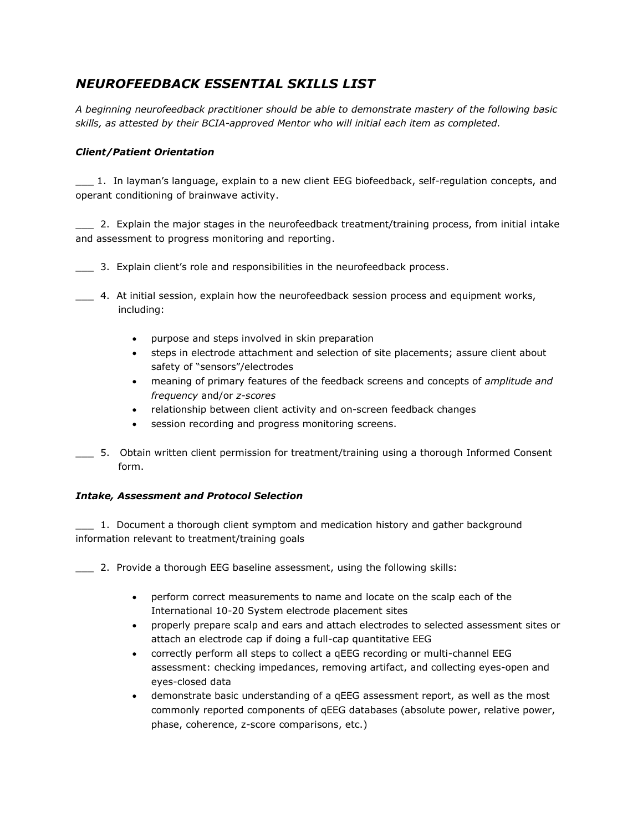# *NEUROFEEDBACK ESSENTIAL SKILLS LIST*

*A beginning neurofeedback practitioner should be able to demonstrate mastery of the following basic skills, as attested by their BCIA-approved Mentor who will initial each item as completed.*

## *Client/Patient Orientation*

\_\_\_ 1. In layman's language, explain to a new client EEG biofeedback, self-regulation concepts, and operant conditioning of brainwave activity.

2. Explain the major stages in the neurofeedback treatment/training process, from initial intake and assessment to progress monitoring and reporting.

\_\_\_ 3. Explain client's role and responsibilities in the neurofeedback process.

\_\_\_ 4. At initial session, explain how the neurofeedback session process and equipment works, including:

- purpose and steps involved in skin preparation
- steps in electrode attachment and selection of site placements; assure client about safety of "sensors"/electrodes
- meaning of primary features of the feedback screens and concepts of *amplitude and frequency* and/or *z-scores*
- relationship between client activity and on-screen feedback changes
- session recording and progress monitoring screens.
- \_\_\_ 5. Obtain written client permission for treatment/training using a thorough Informed Consent form.

### *Intake, Assessment and Protocol Selection*

\_\_\_ 1. Document a thorough client symptom and medication history and gather background information relevant to treatment/training goals

\_\_\_ 2. Provide a thorough EEG baseline assessment, using the following skills:

- perform correct measurements to name and locate on the scalp each of the International 10-20 System electrode placement sites
- properly prepare scalp and ears and attach electrodes to selected assessment sites or attach an electrode cap if doing a full-cap quantitative EEG
- correctly perform all steps to collect a qEEG recording or multi-channel EEG assessment: checking impedances, removing artifact, and collecting eyes-open and eyes-closed data
- demonstrate basic understanding of a qEEG assessment report, as well as the most commonly reported components of qEEG databases (absolute power, relative power, phase, coherence, z-score comparisons, etc.)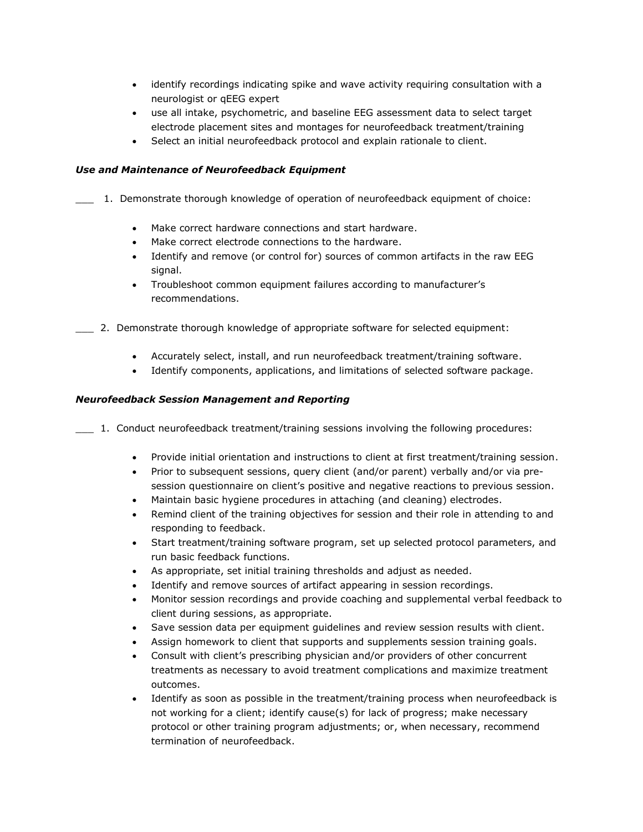- identify recordings indicating spike and wave activity requiring consultation with a neurologist or qEEG expert
- use all intake, psychometric, and baseline EEG assessment data to select target electrode placement sites and montages for neurofeedback treatment/training
- Select an initial neurofeedback protocol and explain rationale to client.

#### *Use and Maintenance of Neurofeedback Equipment*

- \_\_\_ 1. Demonstrate thorough knowledge of operation of neurofeedback equipment of choice:
	- Make correct hardware connections and start hardware.
	- Make correct electrode connections to the hardware.
	- Identify and remove (or control for) sources of common artifacts in the raw EEG signal.
	- Troubleshoot common equipment failures according to manufacturer's recommendations.
- \_\_\_ 2. Demonstrate thorough knowledge of appropriate software for selected equipment:
	- Accurately select, install, and run neurofeedback treatment/training software.
	- Identify components, applications, and limitations of selected software package.

#### *Neurofeedback Session Management and Reporting*

- \_\_\_ 1. Conduct neurofeedback treatment/training sessions involving the following procedures:
	- Provide initial orientation and instructions to client at first treatment/training session.
	- Prior to subsequent sessions, query client (and/or parent) verbally and/or via presession questionnaire on client's positive and negative reactions to previous session.
	- Maintain basic hygiene procedures in attaching (and cleaning) electrodes.
	- Remind client of the training objectives for session and their role in attending to and responding to feedback.
	- Start treatment/training software program, set up selected protocol parameters, and run basic feedback functions.
	- As appropriate, set initial training thresholds and adjust as needed.
	- Identify and remove sources of artifact appearing in session recordings.
	- Monitor session recordings and provide coaching and supplemental verbal feedback to client during sessions, as appropriate.
	- Save session data per equipment guidelines and review session results with client.
	- Assign homework to client that supports and supplements session training goals.
	- Consult with client's prescribing physician and/or providers of other concurrent treatments as necessary to avoid treatment complications and maximize treatment outcomes.
	- Identify as soon as possible in the treatment/training process when neurofeedback is not working for a client; identify cause(s) for lack of progress; make necessary protocol or other training program adjustments; or, when necessary, recommend termination of neurofeedback.